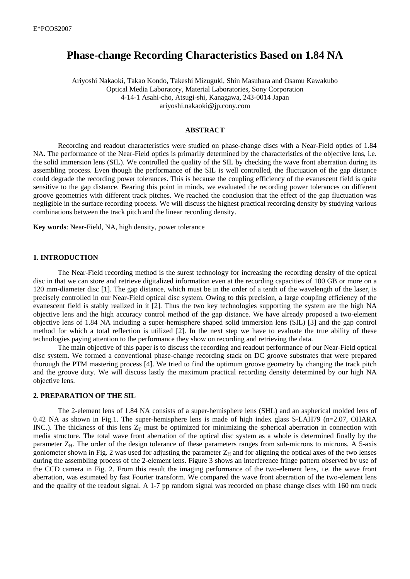# **Phase-change Recording Characteristics Based on 1.84 NA**

Ariyoshi Nakaoki, Takao Kondo, Takeshi Mizuguki, Shin Masuhara and Osamu Kawakubo Optical Media Laboratory, Material Laboratories, Sony Corporation 4-14-1 Asahi-cho, Atsugi-shi, Kanagawa, 243-0014 Japan ariyoshi.nakaoki@jp.cony.com

#### **ABSTRACT**

Recording and readout characteristics were studied on phase-change discs with a Near-Field optics of 1.84 NA. The performance of the Near-Field optics is primarily determined by the characteristics of the objective lens, i.e. the solid immersion lens (SIL). We controlled the quality of the SIL by checking the wave front aberration during its assembling process. Even though the performance of the SIL is well controlled, the fluctuation of the gap distance could degrade the recording power tolerances. This is because the coupling efficiency of the evanescent field is quite sensitive to the gap distance. Bearing this point in minds, we evaluated the recording power tolerances on different groove geometries with different track pitches. We reached the conclusion that the effect of the gap fluctuation was negligible in the surface recording process. We will discuss the highest practical recording density by studying various combinations between the track pitch and the linear recording density.

**Key words**: Near-Field, NA, high density, power tolerance

## **1. INTRODUCTION**

The Near-Field recording method is the surest technology for increasing the recording density of the optical disc in that we can store and retrieve digitalized information even at the recording capacities of 100 GB or more on a 120 mm-diameter disc [1]. The gap distance, which must be in the order of a tenth of the wavelength of the laser, is precisely controlled in our Near-Field optical disc system. Owing to this precision, a large coupling efficiency of the evanescent field is stably realized in it [2]. Thus the two key technologies supporting the system are the high NA objective lens and the high accuracy control method of the gap distance. We have already proposed a two-element objective lens of 1.84 NA including a super-hemisphere shaped solid immersion lens (SIL) [3] and the gap control method for which a total reflection is utilized [2]. In the next step we have to evaluate the true ability of these technologies paying attention to the performance they show on recording and retrieving the data.

The main objective of this paper is to discuss the recording and readout performance of our Near-Field optical disc system. We formed a conventional phase-change recording stack on DC groove substrates that were prepared thorough the PTM mastering process [4]. We tried to find the optimum groove geometry by changing the track pitch and the groove duty. We will discuss lastly the maximum practical recording density determined by our high NA objective lens.

#### **2. PREPARATION OF THE SIL**

The 2-element lens of 1.84 NA consists of a super-hemisphere lens (SHL) and an aspherical molded lens of 0.42 NA as shown in Fig.1. The super-hemisphere lens is made of high index glass S-LAH79 (n=2.07, OHARA INC.). The thickness of this lens  $Z_T$  must be optimized for minimizing the spherical aberration in connection with media structure. The total wave front aberration of the optical disc system as a whole is determined finally by the parameter Z<sub>H</sub>. The order of the design tolerance of these parameters ranges from sub-microns to microns. A 5-axis goniometer shown in Fig. 2 was used for adjusting the parameter  $Z_H$  and for aligning the optical axes of the two lenses during the assembling process of the 2-element lens. Figure 3 shows an interference fringe pattern observed by use of the CCD camera in Fig. 2. From this result the imaging performance of the two-element lens, i.e. the wave front aberration, was estimated by fast Fourier transform. We compared the wave front aberration of the two-element lens and the quality of the readout signal. A 1-7 pp random signal was recorded on phase change discs with 160 nm track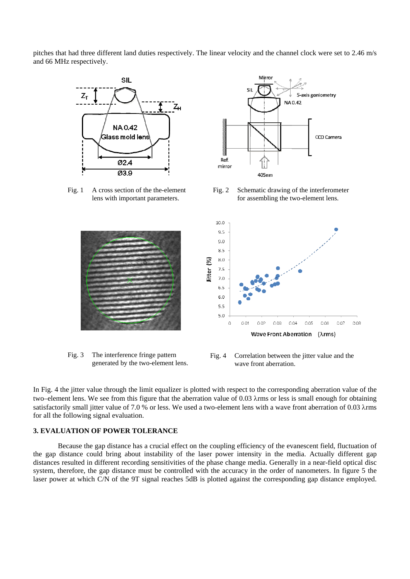pitches that had three different land duties respectively. The linear velocity and the channel clock were set to 2.46 m/s and 66 MHz respectively.



Fig. 1 A cross section of the the-element



Fig. 3 The interference fringe pattern generated by the two-element lens.



Fig. 2 Schematic drawing of the interferometer lens with important parameters. for assembling the two-element lens.



Fig. 4 Correlation between the jitter value and the wave front aberration.

In Fig. 4 the jitter value through the limit equalizer is plotted with respect to the corresponding aberration value of the two–element lens. We see from this figure that the aberration value of 0.03 λrms or less is small enough for obtaining satisfactorily small jitter value of 7.0 % or less. We used a two-element lens with a wave front aberration of 0.03 λrms for all the following signal evaluation.

# **3. EVALUATION OF POWER TOLERANCE**

Because the gap distance has a crucial effect on the coupling efficiency of the evanescent field, fluctuation of the gap distance could bring about instability of the laser power intensity in the media. Actually different gap distances resulted in different recording sensitivities of the phase change media. Generally in a near-field optical disc system, therefore, the gap distance must be controlled with the accuracy in the order of nanometers. In figure 5 the laser power at which C/N of the 9T signal reaches 5dB is plotted against the corresponding gap distance employed.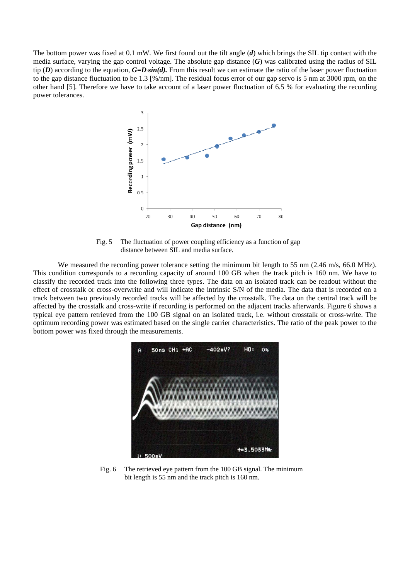The bottom power was fixed at 0.1 mW. We first found out the tilt angle (*d*) which brings the SIL tip contact with the media surface, varying the gap control voltage. The absolute gap distance (*G*) was calibrated using the radius of SIL tip (*D*) according to the equation, *G=D*⋅*sin(d).* From this result we can estimate the ratio of the laser power fluctuation to the gap distance fluctuation to be 1.3 [%/nm]. The residual focus error of our gap servo is 5 nm at 3000 rpm, on the other hand [5]. Therefore we have to take account of a laser power fluctuation of 6.5 % for evaluating the recording power tolerances.



Fig. 5 The fluctuation of power coupling efficiency as a function of gap distance between SIL and media surface.

We measured the recording power tolerance setting the minimum bit length to 55 nm (2.46 m/s, 66.0 MHz). This condition corresponds to a recording capacity of around 100 GB when the track pitch is 160 nm. We have to classify the recorded track into the following three types. The data on an isolated track can be readout without the effect of crosstalk or cross-overwrite and will indicate the intrinsic S/N of the media. The data that is recorded on a track between two previously recorded tracks will be affected by the crosstalk. The data on the central track will be affected by the crosstalk and cross-write if recording is performed on the adjacent tracks afterwards. Figure 6 shows a typical eye pattern retrieved from the 100 GB signal on an isolated track, i.e. without crosstalk or cross-write. The optimum recording power was estimated based on the single carrier characteristics. The ratio of the peak power to the bottom power was fixed through the measurements.



Fig. 6 The retrieved eye pattern from the 100 GB signal. The minimum bit length is 55 nm and the track pitch is 160 nm.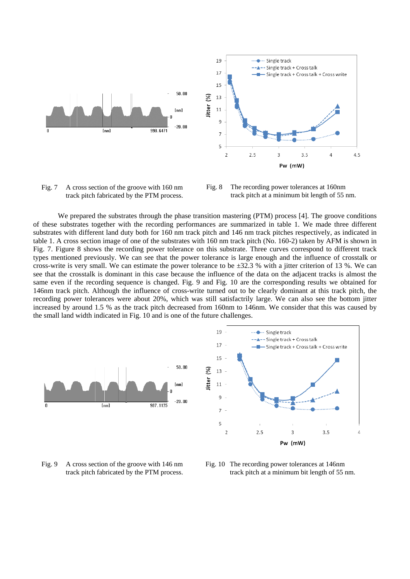

Fig. 7 A cross section of the groove with 160 nm Fig. 8 The recording power tolerances at 160nm track pitch fabricated by the PTM process.

track pitch fabricated by the PTM process. track pitch at a minimum bit length of 55 nm.

We prepared the substrates through the phase transition mastering (PTM) process [4]. The groove conditions of these substrates together with the recording performances are summarized in table 1. We made three different substrates with different land duty both for 160 nm track pitch and 146 nm track pitches respectively, as indicated in table 1. A cross section image of one of the substrates with 160 nm track pitch (No. 160-2) taken by AFM is shown in Fig. 7. Figure 8 shows the recording power tolerance on this substrate. Three curves correspond to different track types mentioned previously. We can see that the power tolerance is large enough and the influence of crosstalk or cross-write is very small. We can estimate the power tolerance to be  $\pm 32.3$  % with a jitter criterion of 13 %. We can see that the crosstalk is dominant in this case because the influence of the data on the adjacent tracks is almost the same even if the recording sequence is changed. Fig. 9 and Fig. 10 are the corresponding results we obtained for 146nm track pitch. Although the influence of cross-write turned out to be clearly dominant at this track pitch, the recording power tolerances were about 20%, which was still satisfactrily large. We can also see the bottom jitter increased by around 1.5 % as the track pitch decreased from 160nm to 146nm. We consider that this was caused by the small land width indicated in Fig. 10 and is one of the future challenges.



Fig. 9 A cross section of the groove with 146 nm track pitch fabricated by the PTM process.

Fig. 10 The recording power tolerances at 146nm track pitch at a minimum bit length of 55 nm.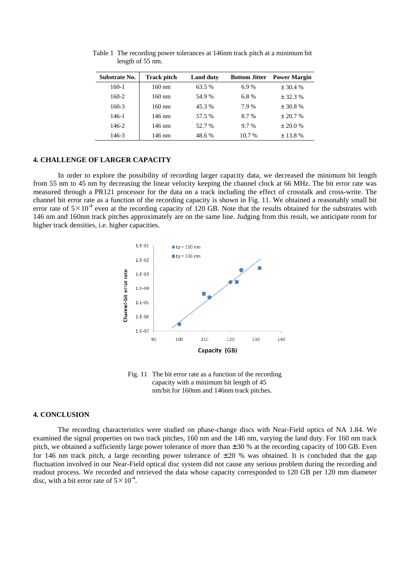| Substrate No. | <b>Track pitch</b> | <b>Land duty</b> |          | <b>Bottom Jitter</b> Power Margin |
|---------------|--------------------|------------------|----------|-----------------------------------|
| $160-1$       | $160 \text{ nm}$   | 63.5 %           | 6.9%     | $\pm$ 30.4 %                      |
| $160-2$       | $160 \text{ nm}$   | 54.9%            | 6.8%     | $+32.3%$                          |
| $160-3$       | $160 \text{ nm}$   | 45.3 %           | 7.9%     | $\pm$ 30.8 %                      |
| 146-1         | 146 nm             | 57.5 %           | 8.7%     | $+20.7%$                          |
| 146-2         | 146 nm             | 52.7 %           | $9.7\%$  | $\pm 20.0 \%$                     |
| 146-3         | 146 nm             | 48.6 %           | $10.7\%$ | $\pm$ 13.8 %                      |
|               |                    |                  |          |                                   |

Table 1 The recording power tolerances at 146nm track pitch at a minimum bit length of 55 nm.

#### **4. CHALLENGE OF LARGER CAPACITY**

In order to explore the possibility of recording larger capacity data, we decreased the minimum bit length from 55 nm to 45 nm by decreasing the linear velocity keeping the channel clock at 66 MHz. The bit error rate was measured through a PR121 processor for the data on a track including the effect of crosstalk and cross-write. The channel bit error rate as a function of the recording capacity is shown in Fig. 11. We obtained a reasonably small bit error rate of  $5\times10^4$  even at the recording capacity of 120 GB. Note that the results obtained for the substrates with 146 nm and 160nm track pitches approximately are on the same line. Judging from this result, we anticipate room for higher track densities, i.e. higher capacities.



Fig. 11 The bit error rate as a function of the recording capacity with a minimum bit length of 45 nm/bit for 160nm and 146nm track pitches.

#### **4. CONCLUSION**

The recording characteristics were studied on phase-change discs with Near-Field optics of NA 1.84. We examined the signal properties on two track pitches, 160 nm and the 146 nm, varying the land duty. For 160 nm track pitch, we obtained a sufficiently large power tolerance of more than  $\pm 30$  % at the recording capacity of 100 GB. Even for 146 nm track pitch, a large recording power tolerance of  $\pm 20$  % was obtained. It is concluded that the gap fluctuation involved in our Near-Field optical disc system did not cause any serious problem during the recording and readout process. We recorded and retrieved the data whose capacity corresponded to 120 GB per 120 mm diameter disc, with a bit error rate of  $5 \times 10^{-4}$ .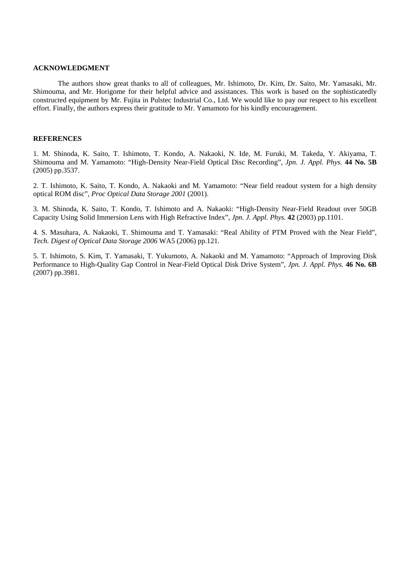## **ACKNOWLEDGMENT**

The authors show great thanks to all of colleagues, Mr. Ishimoto, Dr. Kim, Dr. Saito, Mr. Yamasaki, Mr. Shimouma, and Mr. Horigome for their helpful advice and assistances. This work is based on the sophisticatedly constructed equipment by Mr. Fujita in Pulstec Industrial Co., Ltd. We would like to pay our respect to his excellent effort. Finally, the authors express their gratitude to Mr. Yamamoto for his kindly encouragement.

# **REFERENCES**

1. M. Shinoda, K. Saito, T. Ishimoto, T. Kondo, A. Nakaoki, N. Ide, M. Furuki, M. Takeda, Y. Akiyama, T. Shimouma and M. Yamamoto: "High-Density Near-Field Optical Disc Recording", *Jpn. J. Appl. Phys.* **44 No. 5B**  (2005) pp.3537.

2. T. Ishimoto, K. Saito, T. Kondo, A. Nakaoki and M. Yamamoto: "Near field readout system for a high density optical ROM disc", *Proc Optical Data Storage 2001* (2001).

3. M. Shinoda, K. Saito, T. Kondo, T. Ishimoto and A. Nakaoki: "High-Density Near-Field Readout over 50GB Capacity Using Solid Immersion Lens with High Refractive Index", *Jpn. J. Appl. Phys.* **42** (2003) pp.1101.

4. S. Masuhara, A. Nakaoki, T. Shimouma and T. Yamasaki: "Real Ability of PTM Proved with the Near Field", *Tech. Digest of Optical Data Storage 2006* WA5 (2006) pp.121.

5. T. Ishimoto, S. Kim, T. Yamasaki, T. Yukumoto, A. Nakaoki and M. Yamamoto: "Approach of Improving Disk Performance to High-Quality Gap Control in Near-Field Optical Disk Drive System", *Jpn. J. Appl. Phys.* **46 No. 6B**  (2007) pp.3981.